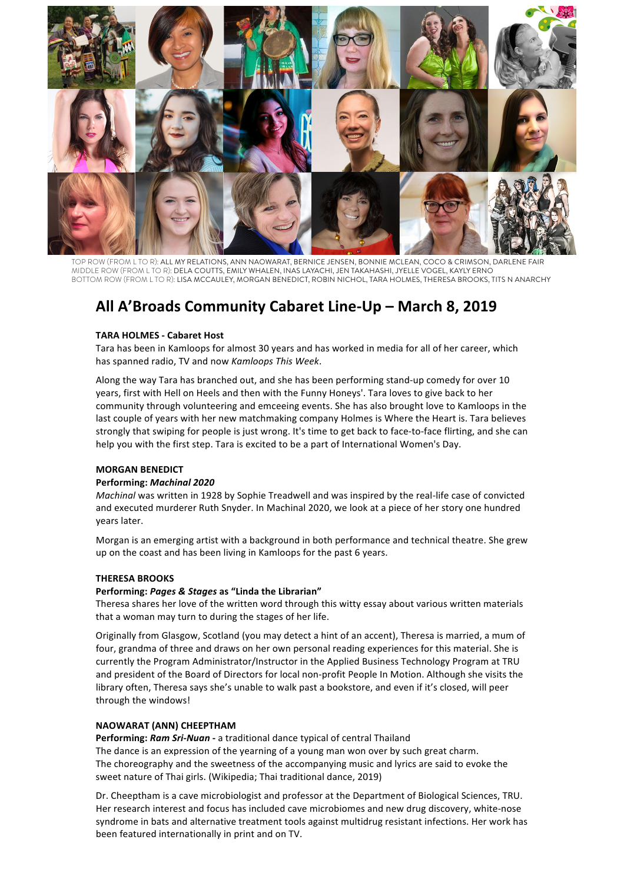

TOP ROW (FROM L TO R): ALL MY RELATIONS, ANN NAOWARAT, BERNICE JENSEN, BONNIE MCLEAN, COCO & CRIMSON, DARLENE FAIR MIDDLE ROW (FROM L TO R): DELA COUTTS, EMILY WHALEN, INAS LAYACHI, JEN TAKAHASHI, JYELLE VOGEL, KAYLY ERNO BOTTOM ROW (FROM L TO R): LISA MCCAULEY, MORGAN BENEDICT, ROBIN NICHOL, TARA HOLMES, THERESA BROOKS, TITS N ANARCHY

# All A'Broads Community Cabaret Line-Up - March 8, 2019

#### **TARA HOLMES - Cabaret Host**

Tara has been in Kamloops for almost 30 years and has worked in media for all of her career, which has spanned radio, TV and now Kamloops This Week.

Along the way Tara has branched out, and she has been performing stand-up comedy for over 10 years, first with Hell on Heels and then with the Funny Honeys'. Tara loves to give back to her community through volunteering and emceeing events. She has also brought love to Kamloops in the last couple of years with her new matchmaking company Holmes is Where the Heart is. Tara believes strongly that swiping for people is just wrong. It's time to get back to face-to-face flirting, and she can help you with the first step. Tara is excited to be a part of International Women's Day.

#### **MORGAN BENEDICT**

#### Performing: Machinal 2020

Machinal was written in 1928 by Sophie Treadwell and was inspired by the real-life case of convicted and executed murderer Ruth Snyder. In Machinal 2020, we look at a piece of her story one hundred years later.

Morgan is an emerging artist with a background in both performance and technical theatre. She grew up on the coast and has been living in Kamloops for the past 6 years.

#### **THERESA BROOKS**

#### Performing: Pages & Stages as "Linda the Librarian"

Theresa shares her love of the written word through this witty essay about various written materials that a woman may turn to during the stages of her life.

Originally from Glasgow, Scotland (you may detect a hint of an accent), Theresa is married, a mum of four, grandma of three and draws on her own personal reading experiences for this material. She is currently the Program Administrator/Instructor in the Applied Business Technology Program at TRU and president of the Board of Directors for local non-profit People In Motion. Although she visits the library often, Theresa says she's unable to walk past a bookstore, and even if it's closed, will peer through the windows!

## **NAOWARAT (ANN) CHEEPTHAM**

Performing: Ram Sri-Nuan - a traditional dance typical of central Thailand

The dance is an expression of the yearning of a young man won over by such great charm. The choreography and the sweetness of the accompanying music and lyrics are said to evoke the sweet nature of Thai girls. (Wikipedia: Thai traditional dance, 2019)

Dr. Cheeptham is a cave microbiologist and professor at the Department of Biological Sciences, TRU. Her research interest and focus has included cave microbiomes and new drug discovery, white-nose syndrome in bats and alternative treatment tools against multidrug resistant infections. Her work has been featured internationally in print and on TV.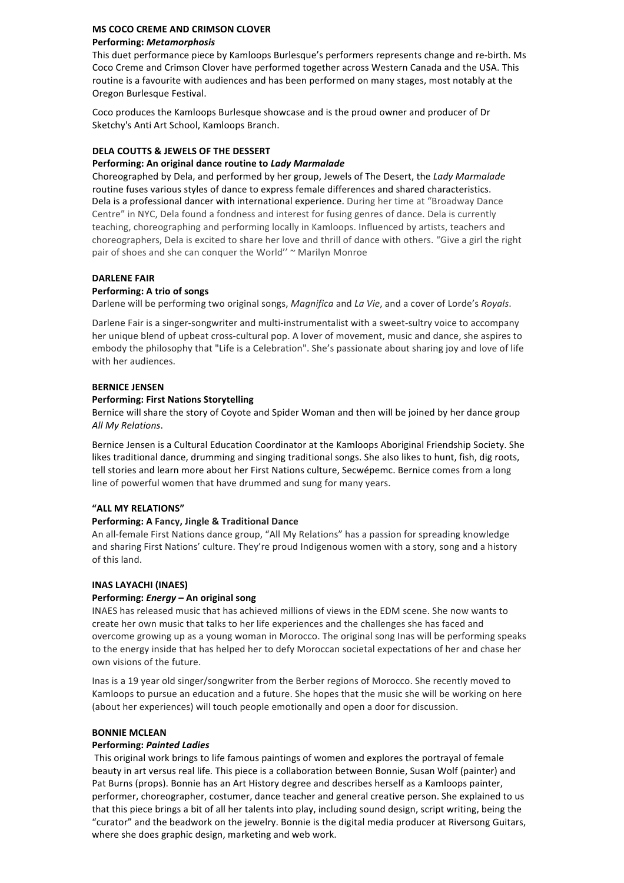## MS COCO CREME AND CRIMSON CLOVER **Performing: Metamorphosis**

This duet performance piece by Kamloops Burlesque's performers represents change and re-birth. Ms Coco Creme and Crimson Clover have performed together across Western Canada and the USA. This routine is a favourite with audiences and has been performed on many stages, most notably at the Oregon Burlesque Festival.

Coco produces the Kamloops Burlesque showcase and is the proud owner and producer of Dr Sketchy's Anti Art School, Kamloops Branch.

## **DELA COUTTS & JEWELS OF THE DESSERT**

## Performing: An original dance routine to Lady Marmalade

Choreographed by Dela, and performed by her group, Jewels of The Desert, the Lady Marmalade routine fuses various styles of dance to express female differences and shared characteristics. Dela is a professional dancer with international experience. During her time at "Broadway Dance" Centre" in NYC, Dela found a fondness and interest for fusing genres of dance. Dela is currently teaching, choreographing and performing locally in Kamloops. Influenced by artists, teachers and choreographers, Dela is excited to share her love and thrill of dance with others. "Give a girl the right pair of shoes and she can conquer the World" ~ Marilyn Monroe

## **DARLENE FAIR**

## Performing: A trio of songs

Darlene will be performing two original songs, Magnifica and La Vie, and a cover of Lorde's Royals.

Darlene Fair is a singer-songwriter and multi-instrumentalist with a sweet-sultry voice to accompany her unique blend of upbeat cross-cultural pop. A lover of movement, music and dance, she aspires to embody the philosophy that "Life is a Celebration". She's passionate about sharing joy and love of life with her audiences.

## **RERNICE IFNSEN**

## **Performing: First Nations Storytelling**

Bernice will share the story of Coyote and Spider Woman and then will be joined by her dance group All My Relations.

Bernice Jensen is a Cultural Education Coordinator at the Kamloops Aboriginal Friendship Society. She likes traditional dance, drumming and singing traditional songs. She also likes to hunt, fish, dig roots, tell stories and learn more about her First Nations culture, Secwépemc. Bernice comes from a long line of powerful women that have drummed and sung for many years.

## "ALL MY RELATIONS"

## Performing: A Fancy, Jingle & Traditional Dance

An all-female First Nations dance group, "All My Relations" has a passion for spreading knowledge and sharing First Nations' culture. They're proud Indigenous women with a story, song and a history of this land.

## **INAS LAYACHI (INAES)**

## Performing: Energy - An original song

INAES has released music that has achieved millions of views in the EDM scene. She now wants to create her own music that talks to her life experiences and the challenges she has faced and overcome growing up as a young woman in Morocco. The original song Inas will be performing speaks to the energy inside that has helped her to defy Moroccan societal expectations of her and chase her own visions of the future.

Inas is a 19 year old singer/songwriter from the Berber regions of Morocco. She recently moved to Kamloops to pursue an education and a future. She hopes that the music she will be working on here (about her experiences) will touch people emotionally and open a door for discussion.

## **BONNIE MCLEAN**

#### **Performing: Painted Ladies**

This original work brings to life famous paintings of women and explores the portrayal of female beauty in art versus real life. This piece is a collaboration between Bonnie, Susan Wolf (painter) and Pat Burns (props). Bonnie has an Art History degree and describes herself as a Kamloops painter, performer, choreographer, costumer, dance teacher and general creative person. She explained to us that this piece brings a bit of all her talents into play, including sound design, script writing, being the "curator" and the beadwork on the jewelry. Bonnie is the digital media producer at Riversong Guitars, where she does graphic design, marketing and web work.